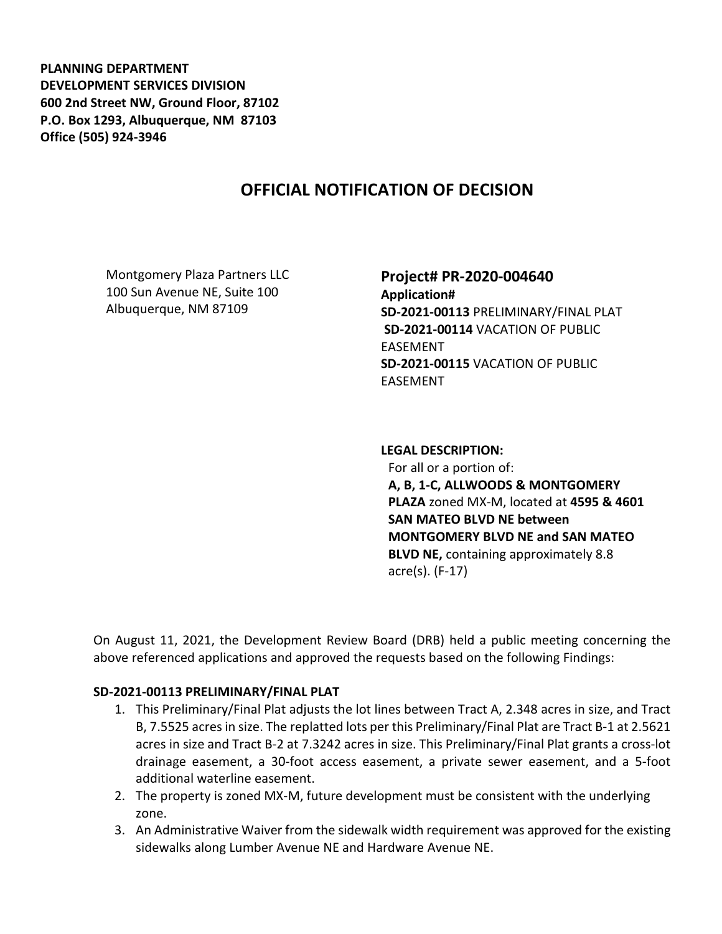**PLANNING DEPARTMENT DEVELOPMENT SERVICES DIVISION 600 2nd Street NW, Ground Floor, 87102 P.O. Box 1293, Albuquerque, NM 87103 Office (505) 924-3946** 

# **OFFICIAL NOTIFICATION OF DECISION**

Montgomery Plaza Partners LLC 100 Sun Avenue NE, Suite 100 Albuquerque, NM 87109

## **Project# PR-2020-004640**

**Application# SD-2021-00113** PRELIMINARY/FINAL PLAT **SD-2021-00114** VACATION OF PUBLIC EASEMENT **SD-2021-00115** VACATION OF PUBLIC EASEMENT

#### **LEGAL DESCRIPTION:**

For all or a portion of: **A, B, 1-C, ALLWOODS & MONTGOMERY PLAZA** zoned MX-M, located at **4595 & 4601 SAN MATEO BLVD NE between MONTGOMERY BLVD NE and SAN MATEO BLVD NE,** containing approximately 8.8 acre(s). (F-17)

On August 11, 2021, the Development Review Board (DRB) held a public meeting concerning the above referenced applications and approved the requests based on the following Findings:

### **SD-2021-00113 PRELIMINARY/FINAL PLAT**

- 1. This Preliminary/Final Plat adjusts the lot lines between Tract A, 2.348 acres in size, and Tract B, 7.5525 acres in size. The replatted lots per this Preliminary/Final Plat are Tract B-1 at 2.5621 acres in size and Tract B-2 at 7.3242 acres in size. This Preliminary/Final Plat grants a cross-lot drainage easement, a 30-foot access easement, a private sewer easement, and a 5-foot additional waterline easement.
- 2. The property is zoned MX-M, future development must be consistent with the underlying zone.
- 3. An Administrative Waiver from the sidewalk width requirement was approved for the existing sidewalks along Lumber Avenue NE and Hardware Avenue NE.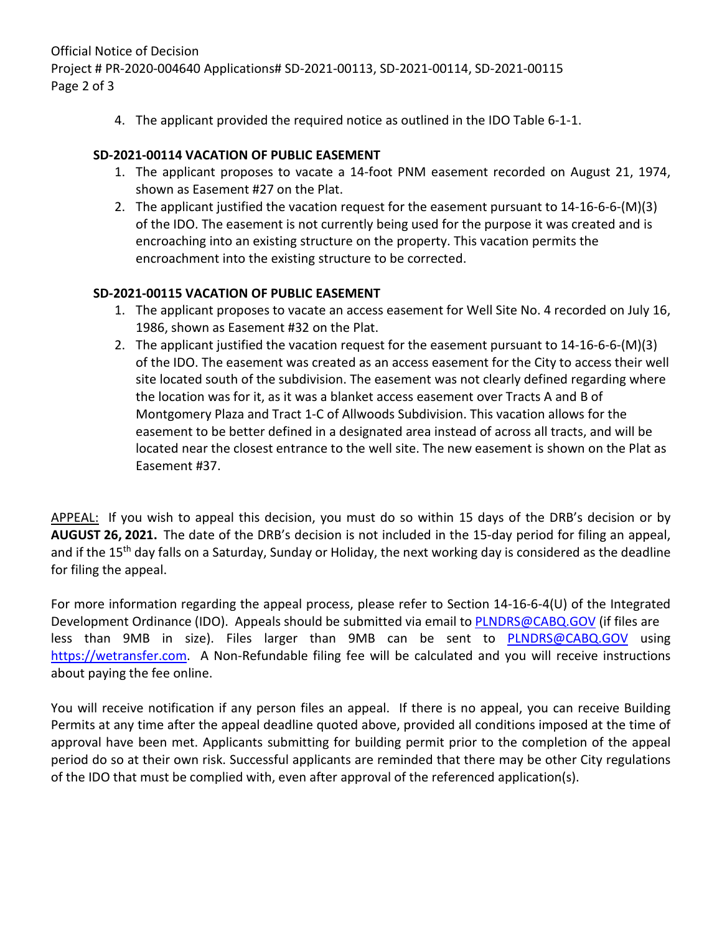Official Notice of Decision Project # PR-2020-004640 Applications# SD-2021-00113, SD-2021-00114, SD-2021-00115 Page 2 of 3

4. The applicant provided the required notice as outlined in the IDO Table 6-1-1.

## **SD-2021-00114 VACATION OF PUBLIC EASEMENT**

- 1. The applicant proposes to vacate a 14-foot PNM easement recorded on August 21, 1974, shown as Easement #27 on the Plat.
- 2. The applicant justified the vacation request for the easement pursuant to 14-16-6-6-(M)(3) of the IDO. The easement is not currently being used for the purpose it was created and is encroaching into an existing structure on the property. This vacation permits the encroachment into the existing structure to be corrected.

## **SD-2021-00115 VACATION OF PUBLIC EASEMENT**

- 1. The applicant proposes to vacate an access easement for Well Site No. 4 recorded on July 16, 1986, shown as Easement #32 on the Plat.
- 2. The applicant justified the vacation request for the easement pursuant to 14-16-6-6-(M)(3) of the IDO. The easement was created as an access easement for the City to access their well site located south of the subdivision. The easement was not clearly defined regarding where the location was for it, as it was a blanket access easement over Tracts A and B of Montgomery Plaza and Tract 1-C of Allwoods Subdivision. This vacation allows for the easement to be better defined in a designated area instead of across all tracts, and will be located near the closest entrance to the well site. The new easement is shown on the Plat as Easement #37.

APPEAL: If you wish to appeal this decision, you must do so within 15 days of the DRB's decision or by **AUGUST 26, 2021.** The date of the DRB's decision is not included in the 15-day period for filing an appeal, and if the 15<sup>th</sup> day falls on a Saturday, Sunday or Holiday, the next working day is considered as the deadline for filing the appeal.

For more information regarding the appeal process, please refer to Section 14-16-6-4(U) of the Integrated Development Ordinance (IDO). Appeals should be submitted via email to [PLNDRS@CABQ.GOV](mailto:PLNDRS@CABQ.GOV) (if files are less than 9MB in size). Files larger than 9MB can be sent to [PLNDRS@CABQ.GOV](mailto:PLNDRS@CABQ.GOV) using [https://wetransfer.com.](https://wetransfer.com/) A Non-Refundable filing fee will be calculated and you will receive instructions about paying the fee online.

You will receive notification if any person files an appeal. If there is no appeal, you can receive Building Permits at any time after the appeal deadline quoted above, provided all conditions imposed at the time of approval have been met. Applicants submitting for building permit prior to the completion of the appeal period do so at their own risk. Successful applicants are reminded that there may be other City regulations of the IDO that must be complied with, even after approval of the referenced application(s).